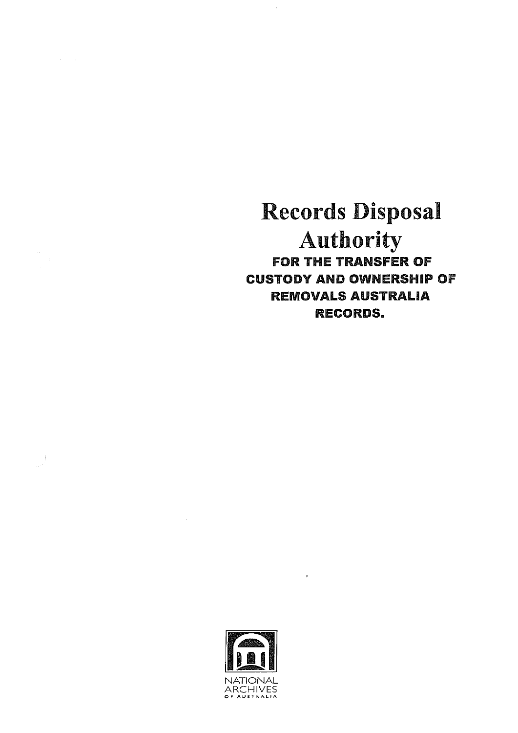Records Disposal Authority FOR THE TRANSFER OF CUSTODY AND OWNERSHIP OF REMOVALS AUSTRALIA RECORDS.



 $\langle \cdot, \cdot \rangle$ 

 $\mathcal{L}^{\text{max}}_{\text{max}}$  and  $\mathcal{L}^{\text{max}}_{\text{max}}$ 

 $\label{eq:1} \begin{array}{c} \cos\theta \\ \cos\theta \\ \cos\theta \\ \end{array}$ 

 $\frac{1}{\sqrt{2}}$ 

 $\label{eq:2.1} \prod_{\alpha\in\mathcal{C}}\left(\frac{1}{\alpha\alpha}\right)^{\alpha\alpha} \left(\frac{1}{\alpha\alpha\alpha}\right)^{\alpha\alpha}$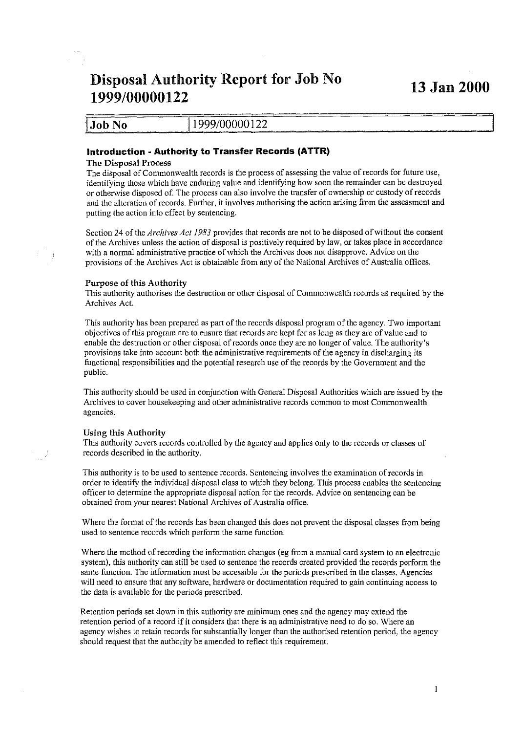# **Disposal Authority Report for Job No 13 Jan 2000 1999/00000122**

|               | .             |
|---------------|---------------|
| <b>Job No</b> | 1999/00000122 |
|               |               |

## **Introduction· Authority to Transfer Records (ATTR)**

### **The Disposal Process**

The disposal of Commonwealth records is the process of assessing the value of records for future use, identifying those which have enduring value and identifying how soon the remainder can be destroyed or otherwise disposed of. The process can also involve the transfer ofownership or custody of records **and the alteration of records. Further, it involves authorising the action arising from the assessment and**  putting the action into effect by sentencing.

Section 24 of the *Archives Act 1983* provides that records are not to be disposed of without the consent ofthe Archives unless the action of disposal is positively required by law, or takes place in accordance with a normal administrative practice of which the Archives does not disapprove. Advice on the provisions of the Archives Act is obtainable from any of the National Archives of Australia offices.

### **Purpose of this Authority**

This authority authorises the destruction or other disposal of Commonwealth records as required by the Archives Act.

This authority has been prepared as part of the records disposal program ofthe agency. Two important objectives of this program are to ensure that records are kept for as long as they are of value and to enable the destruction or other disposal of records once they are no longer of value. The authority's **provisions takeinto accountboth the administrative requirements ofthe agency in discharging its**  functional responsibilities and the potential research use of the records by the Government and the public.

This authority should be used in conjunction with General Disposal Authorities which are issued by the Archives to cover housekeeping and other administrative records common to most Commonwealth **agencies.** 

#### **Using this Authority**

This authority covers records controlled by the agency and applies only to the records or classes of records described **in** the authority.

**This authority is to be used to sentence records. Sentencing involves the examination of records in**  order to identify the individual disposal class to which they belong. This process enables the sentencing **officer to determine the appropriate disposalactionfor the records. Advice on sentencing can be**  obtained from your nearest National Archives of Australia office.

Where the format of the records has been changed this does not prevent the disposal classes from being **used to sentence records which perform the same function.** 

Where the method ofrecording the information changes (eg from a manual card system to an electronic system), this authority can still be used to sentence the records created provided the records perform the same function. The information must be accessible for the periods prescribed in the classes. Agencies **will** need **to ensure that any software, hardware or documentation required to gain continuingaccess to**  the data is available for the periods prescribed.

Retention periods set down in this authority are minimum ones and the agency may extend the retention period of a record if it considers that there is an administrative need to do so. Where an agency wishes to retain records for substantially longer than the authorised retention period, the agency should request that the authority be amended to reflect this requirement.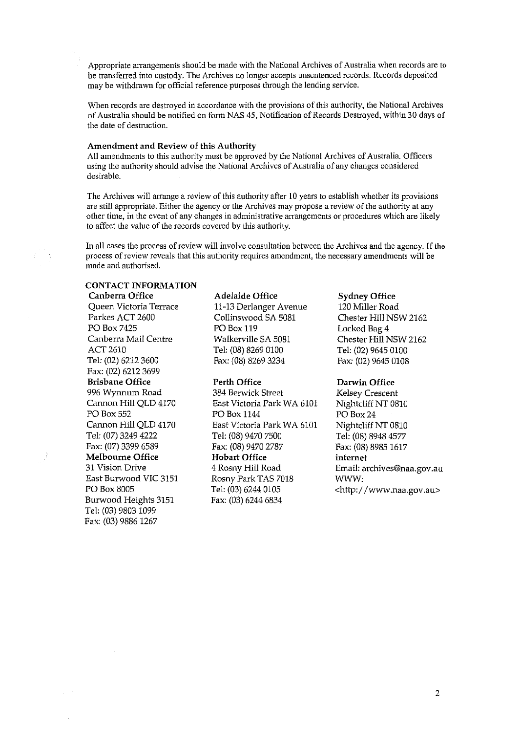Appropriate arrangements should be made with the National Archives of Australia when records are to be transferred into custody. The Archives no longer accepts unsentenced records. Records deposited may be withdrawn for official reference purposes through the lending service.

When records are destroyed in accordance with the provisions of this authority, the National Archives of Australia should be notified on form NAS 45, Notification of Records Destroyed, within 30 days of the date of destruction.

#### Amendment and Review of this Authority

All amendments to this authority must be approved by the National Archives of Australia. Officers using the authority should advise the National Archives of Australia of any changes considered desirable.

The Archives will arrange a review of this authority after 10 years to establish whether its provisions are still appropriate. Either the agency or the Archives may propose a review of the authority at any **other time, in the event of any changes in administrative arrangements or procedures which are likely**  to affect the value of the records covered by this authority.

In all cases the process of review will involve consultation between the Archives and the agency. Ifthe **process of review reveals that this authority requires amendment, the necessary amendments will be**  made and authorised.

## CONTACT INFORMATION

Queen Victoria Terrace 11-13 Derlanger Avenue 120 Miller Road<br>Parkes ACT 2600 Collinswood SA 5081 Chester Hill NS PO Box 7425 PO Box 119 Locked Bag 4<br>
Canberra Mail Centre Walkerville SA 5081 Chester Hill N Canberra Mail Centre Walkerville SA 5081 Chester Hill NSW 2162 ACT 2610 Tel: (08) 8269 0100 Tel: (02) 9645 0100 Tel: (02) 6212 3600 Fax: (08) 8269 3234 Fax: (02) 9645 0108 Fax: (02) 6212 3699 Brisbane Office Perth Office Darwin Office Burwood Heights 3151 Tel: (03) 9803 1099 Fax: (03) 9886 1267

Canberra Office Adelaide Office Sydney Office Collinswood SA 5081 Chester Hill NSW 2162

996 Wynnum Road 384 Berwick Street Kelsey Crescent Cannon Hill QLD 4170 East Victoria Park WA 6101 Nightcliff NT 0810<br>PO Box 24 PO Box 24 PO Box 1144 PO Box 24 Cannon Hill QLD 4170 East Victoria Park WA 6101 Nightcliff NT 0810 Tel: (07) 3249 4222 Tel: (08) 9470 7500 Tel: (08) 8948 4577<br>Fax: (07) 3399 6589 Fax: (08) 9470 2787 Fax: (08) 8985 1617 Melbourne Office Hobart Office **internet**  31 Vision Drive 4 Rosny Hill Road Email: archives@naa.gov.au East Burwood VIC 3151 Rosny Park TAS 7018 WWW: PO Box 8005 Tel: (03) 6244 0105 <http://www.naa.gov.au><br>Burwood Heights 3151 Fax: (03) 6244 6834

Fax: (08) 8985 1617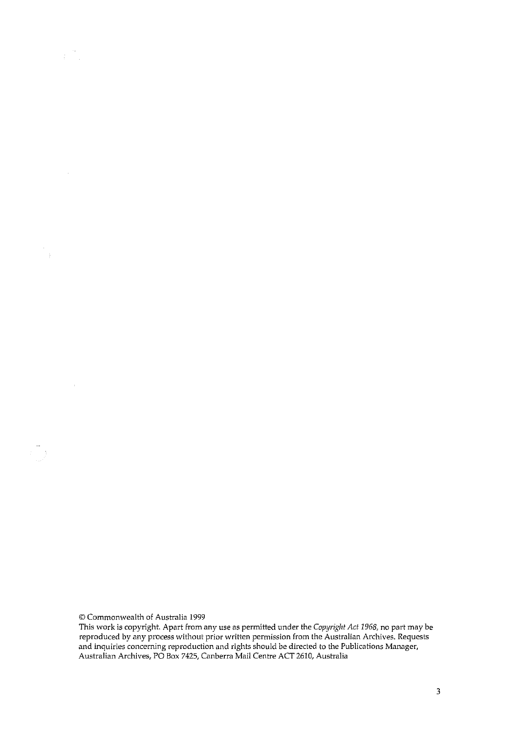© Commonwealth of Australia 1999

 $\sim$ 

 $\sim 10^{-11}$ 

 $\frac{1}{2}$ 

This work is copyright. Apart from any use as permitted under the *Copyright Act 1968*, no part may be **reproduced by any process without prior written permission from the Australian Archives. Requests and inquiries concerning reproduction and rights should be directed to the Publications Manager, Australian Archives, PO Box 7425, Canberra Mail Centre ACT 2610, Australia**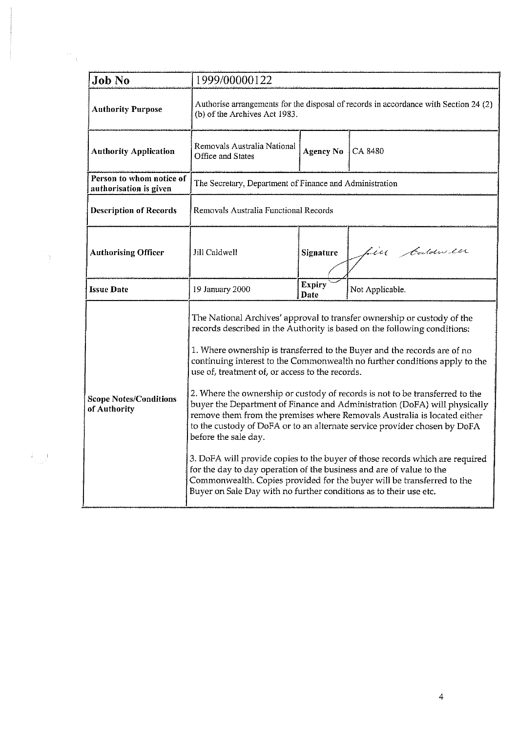| <b>Job No</b>                                      | 1999/00000122                                                                                                                                                                                                                                                                                                                                                                                                                                                                                                                                                                                                                                                                                                                                                                                                                                                                                                                                                                                                         |                                                                                      |                 |  |  |  |
|----------------------------------------------------|-----------------------------------------------------------------------------------------------------------------------------------------------------------------------------------------------------------------------------------------------------------------------------------------------------------------------------------------------------------------------------------------------------------------------------------------------------------------------------------------------------------------------------------------------------------------------------------------------------------------------------------------------------------------------------------------------------------------------------------------------------------------------------------------------------------------------------------------------------------------------------------------------------------------------------------------------------------------------------------------------------------------------|--------------------------------------------------------------------------------------|-----------------|--|--|--|
| <b>Authority Purpose</b>                           | (b) of the Archives Act 1983.                                                                                                                                                                                                                                                                                                                                                                                                                                                                                                                                                                                                                                                                                                                                                                                                                                                                                                                                                                                         | Authorise arrangements for the disposal of records in accordance with Section 24 (2) |                 |  |  |  |
| <b>Authority Application</b>                       | Removals Australia National<br>Office and States                                                                                                                                                                                                                                                                                                                                                                                                                                                                                                                                                                                                                                                                                                                                                                                                                                                                                                                                                                      | <b>Agency No</b>                                                                     | CA 8480         |  |  |  |
| Person to whom notice of<br>authorisation is given | The Secretary, Department of Finance and Administration                                                                                                                                                                                                                                                                                                                                                                                                                                                                                                                                                                                                                                                                                                                                                                                                                                                                                                                                                               |                                                                                      |                 |  |  |  |
| <b>Description of Records</b>                      | Removals Australia Functional Records                                                                                                                                                                                                                                                                                                                                                                                                                                                                                                                                                                                                                                                                                                                                                                                                                                                                                                                                                                                 |                                                                                      |                 |  |  |  |
| <b>Authorising Officer</b>                         | Jill Caldwell                                                                                                                                                                                                                                                                                                                                                                                                                                                                                                                                                                                                                                                                                                                                                                                                                                                                                                                                                                                                         | Signature                                                                            | Line Caldwen    |  |  |  |
| <b>Issue Date</b>                                  | 19 January 2000                                                                                                                                                                                                                                                                                                                                                                                                                                                                                                                                                                                                                                                                                                                                                                                                                                                                                                                                                                                                       | <b>Expiry</b><br>Date                                                                | Not Applicable. |  |  |  |
| <b>Scope Notes/Conditions</b><br>of Authority      | The National Archives' approval to transfer ownership or custody of the<br>records described in the Authority is based on the following conditions:<br>1. Where ownership is transferred to the Buyer and the records are of no<br>continuing interest to the Commonwealth no further conditions apply to the<br>use of, treatment of, or access to the records.<br>2. Where the ownership or custody of records is not to be transferred to the<br>buyer the Department of Finance and Administration (DoFA) will physically<br>remove them from the premises where Removals Australia is located either<br>to the custody of DoFA or to an alternate service provider chosen by DoFA<br>before the sale day.<br>3. DoFA will provide copies to the buyer of those records which are required<br>for the day to day operation of the business and are of value to the<br>Commonwealth. Copies provided for the buyer will be transferred to the<br>Buyer on Sale Day with no further conditions as to their use etc. |                                                                                      |                 |  |  |  |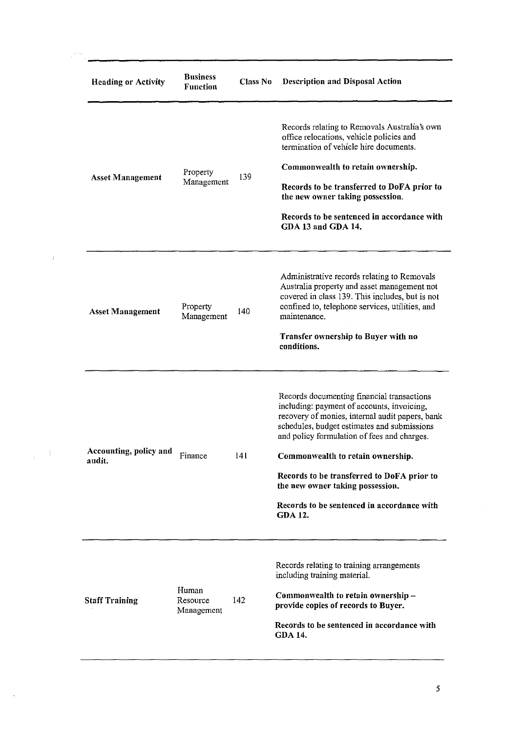| <b>Heading or Activity</b>       | <b>Business</b><br><b>Function</b> | <b>Class No</b> | <b>Description and Disposal Action</b>                                                                                                                                                                                                                                                                                                                                                                                           |
|----------------------------------|------------------------------------|-----------------|----------------------------------------------------------------------------------------------------------------------------------------------------------------------------------------------------------------------------------------------------------------------------------------------------------------------------------------------------------------------------------------------------------------------------------|
| <b>Asset Management</b>          | Property<br>Management             | 139             | Records relating to Removals Australia's own<br>office relocations, vehicle policies and<br>termination of vehicle hire documents.<br>Commonwealth to retain ownership.<br>Records to be transferred to DoFA prior to<br>the new owner taking possession.<br>Records to be sentenced in accordance with<br>GDA 13 and GDA 14.                                                                                                    |
| <b>Asset Management</b>          | Property<br>Management             | 140             | Administrative records relating to Removals<br>Australia property and asset management not<br>covered in class 139. This includes, but is not<br>confined to, telephone services, utilities, and<br>maintenance.<br>Transfer ownership to Buyer with no<br>conditions.                                                                                                                                                           |
| Accounting, policy and<br>audit. | Finance                            | 141             | Records documenting financial transactions<br>including: payment of accounts, invoicing,<br>recovery of monies, internal audit papers, bank<br>schedules, budget estimates and submissions<br>and policy formulation of fees and charges.<br>Commonwealth to retain ownership.<br>Records to be transferred to DoFA prior to<br>the new owner taking possession.<br>Records to be sentenced in accordance with<br><b>GDA 12.</b> |
| <b>Staff Training</b>            | Human<br>Resource<br>Management    | 142             | Records relating to training arrangements<br>including training material.<br>Commonwealth to retain ownership-<br>provide copies of records to Buyer.<br>Records to be sentenced in accordance with<br><b>GDA 14.</b>                                                                                                                                                                                                            |

 $\frac{1}{\left\| \mathbf{E} \mathbf{E} \right\|_{\mathbf{F}}^2} \leq \frac{1}{\left\| \mathbf{E} \mathbf{E} \right\|_{\mathbf{F}}^2}$ 

 $\sim$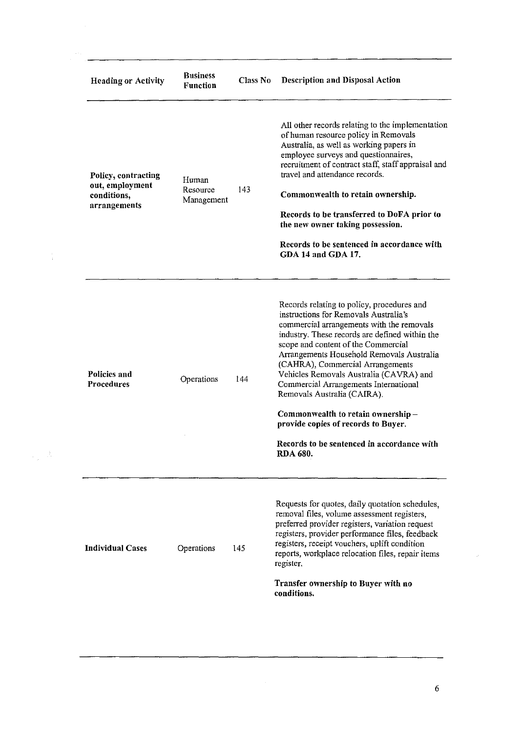| <b>Heading or Activity</b>                                            | <b>Business</b><br>Function     | Class No | <b>Description and Disposal Action</b>                                                                                                                                                                                                                                                                                                                                                                                                                                                                                                                                     |
|-----------------------------------------------------------------------|---------------------------------|----------|----------------------------------------------------------------------------------------------------------------------------------------------------------------------------------------------------------------------------------------------------------------------------------------------------------------------------------------------------------------------------------------------------------------------------------------------------------------------------------------------------------------------------------------------------------------------------|
| Policy, contracting<br>out. employment<br>conditions,<br>arrangements | Human<br>Resource<br>Management | 143      | All other records relating to the implementation<br>of human resource policy in Removals<br>Australia, as well as working papers in<br>employee surveys and questionnaires,<br>recruitment of contract staff, staff appraisal and<br>travel and attendance records.<br>Commonwealth to retain ownership.<br>Records to be transferred to DoFA prior to<br>the new owner taking possession.<br>Records to be sentenced in accordance with<br>GDA 14 and GDA 17.                                                                                                             |
| Policies and<br><b>Procedures</b>                                     | Operations                      | 144      | Records relating to policy, procedures and<br>instructions for Removals Australia's<br>commercial arrangements with the removals<br>industry. These records are defined within the<br>scope and content of the Commercial<br>Arrangements Household Removals Australia<br>(CAHRA), Commercial Arrangements<br>Vehicles Removals Australia (CAVRA) and<br>Commercial Arrangements International<br>Removals Australia (CAIRA).<br>Commonwealth to retain ownership-<br>provide copies of records to Buyer.<br>Records to be sentenced in accordance with<br><b>RDA 680.</b> |
| <b>Individual Cases</b>                                               | Operations                      | 145      | Requests for quotes, daily quotation schedules,<br>removal files, volume assessment registers,<br>preferred provider registers, variation request<br>registers, provider performance files, feedback<br>registers, receipt vouchers, uplift condition<br>reports, workplace relocation files, repair items<br>register.<br>Transfer ownership to Buyer with no<br>conditions.                                                                                                                                                                                              |

 $\mathcal{L}(\mathcal{A})$  .

 $\frac{1}{\left\| \mathbf{p} \right\|_{\mathbf{p}}}\left\| \mathbf{p} \right\|_{\mathbf{p}}$